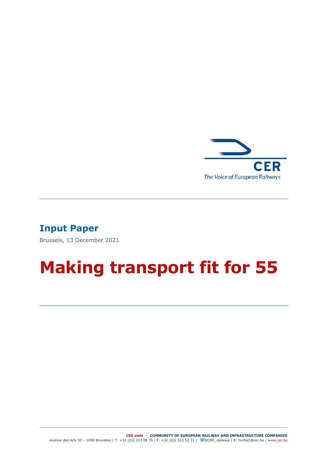

## **Input Paper**

Brussels, 13 December 2021

# **Making transport fit for 55**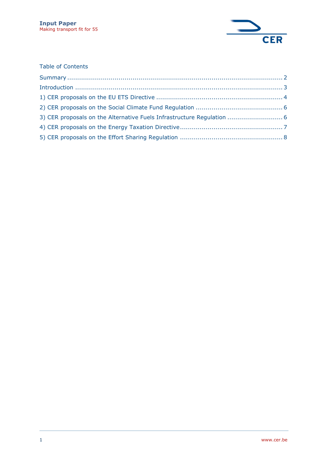

#### Table of Contents

| 3) CER proposals on the Alternative Fuels Infrastructure Regulation  6 |  |
|------------------------------------------------------------------------|--|
|                                                                        |  |
|                                                                        |  |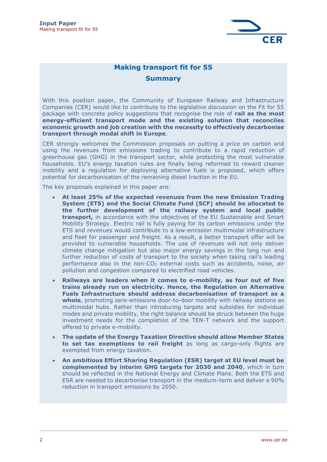

#### **Making transport fit for 55**

#### **Summary**

<span id="page-2-0"></span>With this position paper, the Community of European Railway and Infrastructure Companies (CER) would like to contribute to the legislative discussion on the Fit for 55 package with concrete policy suggestions that recognise the role of **rail as the most energy-efficient transport mode and the existing solution that reconciles economic growth and job creation with the necessity to effectively decarbonise transport through modal shift in Europe**.

CER strongly welcomes the Commission proposals on putting a price on carbon and using the revenues from emissions trading to contribute to a rapid reduction of greenhouse gas (GHG) in the transport sector, while protecting the most vulnerable households. EU's energy taxation rules are finally being reformed to reward cleaner mobility and a regulation for deploying alternative fuels is proposed, which offers potential for decarbonisation of the remaining diesel traction in the EU.

The key proposals explained in this paper are:

- **At least 25% of the expected revenues from the new Emission Trading System (ETS) and the Social Climate Fund (SCF) should be allocated to the further development of the railway system and local public transport,** in accordance with the objectives of the EU Sustainable and Smart Mobility Strategy. Electric rail is fully paying for its carbon emissions under the ETS and revenues would contribute to a low-emission multimodal infrastructure and fleet for passenger and freight. As a result, a better transport offer will be provided to vulnerable households. The use of revenues will not only deliver climate change mitigation but also major energy savings in the long run and further reduction of costs of transport to the society when taking rail's leading performance also in the non-CO<sup>2</sup> external costs such as accidents, noise, air pollution and congestion compared to electrified road vehicles.
- **Railways are leaders when it comes to e-mobility, as four out of five trains already run on electricity. Hence, the Regulation on Alternative Fuels Infrastructure should address decarbonisation of transport as a whole**, promoting zero-emissions door-to-door mobility with railway stations as multimodal hubs. Rather than introducing targets and subsidies for individual modes and private mobility, the right balance should be struck between the huge investment needs for the completion of the TEN-T network and the support offered to private e-mobility.
- **The update of the Energy Taxation Directive should allow Member States to set tax exemptions to rail freight** as long as cargo-only flights are exempted from energy taxation.
- **An ambitious Effort Sharing Regulation (ESR) target at EU level must be complemented by interim GHG targets for 2030 and 2040**, which in turn should be reflected in the National Energy and Climate Plans. Both the ETS and ESR are needed to decarbonise transport in the medium-term and deliver a 90% reduction in transport emissions by 2050.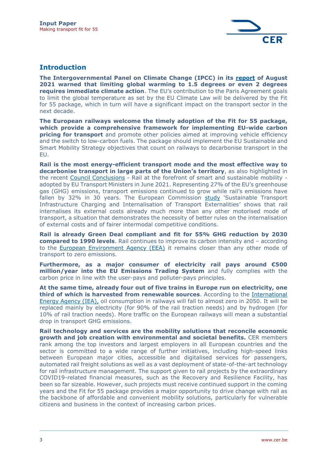

## <span id="page-3-0"></span>**Introduction**

**The Intergovernmental Panel on Climate Change (IPCC) in its [report](https://www.ipcc.ch/assessment-report/ar6/) of August 2021 warned that limiting global warming to 1.5 degrees or even 2 degrees requires immediate climate action**. The EU's contribution to the Paris Agreement goals to limit the global temperature as set by the EU Climate Law will be delivered by the Fit for 55 package, which in turn will have a significant impact on the transport sector in the next decade.

**The European railways welcome the timely adoption of the Fit for 55 package, which provide a comprehensive framework for implementing EU-wide carbon pricing for transport** and promote other policies aimed at improving vehicle efficiency and the switch to low-carbon fuels. The package should implement the EU Sustainable and Smart Mobility Strategy objectives that count on railways to decarbonise transport in the EU.

**Rail is the most energy-efficient transport mode and the most effective way to decarbonise transport in large parts of the Union's territory**, as also highlighted in the recent [Council Conclusions](https://www.consilium.europa.eu/en/press/press-releases/2021/06/03/rail-at-the-forefront-of-smart-and-sustainable-mobility-council-adopts-conclusions/) - Rail at the forefront of smart and sustainable mobility adopted by EU Transport Ministers in June 2021. Representing 27% of the EU's greenhouse gas (GHG) emissions, transport emissions continued to grow while rail's emissions have fallen by 32% in 30 years. The European Commission [study](https://ec.europa.eu/transport/themes/sustainable/internalisation-transport-external-costs_en) 'Sustainable Transport Infrastructure Charging and Internalisation of Transport Externalities' shows that rail internalises its external costs already much more than any other motorised mode of transport, a situation that demonstrates the necessity of better rules on the internalisation of external costs and of fairer intermodal competitive conditions.

**Rail is already Green Deal compliant and fit for 55% GHG reduction by 2030 compared to 1990 levels**. Rail continues to improve its carbon intensity and – according to the [European Environment Agency \(EEA\)](https://www.eea.europa.eu/publications/rail-and-waterborne-transport/rail-and-waterborne-best/d3b-eea-ghg-efficiency-indicators/view) it remains closer than any other mode of transport to zero emissions.

**Furthermore, as a major consumer of electricity rail pays around €500 million/year into the EU Emissions Trading System** and fully complies with the carbon price in line with the user-pays and polluter-pays principles.

**At the same time, already four out of five trains in Europe run on electricity, one third of which is harvested from renewable sources**. According to the [International](https://www.iea.org/reports/net-zero-by-2050)  [Energy Agency \(IEA\),](https://www.iea.org/reports/net-zero-by-2050) oil consumption in railways will fall to almost zero in 2050. It will be replaced mainly by electricity (for 90% of the rail traction needs) and by hydrogen (for 10% of rail traction needs). More traffic on the European railways will mean a substantial drop in transport GHG emissions.

**Rail technology and services are the mobility solutions that reconcile economic growth and job creation with environmental and societal benefits.** CER members rank among the top investors and largest employers in all European countries and the sector is committed to a wide range of further initiatives, including high-speed links between European major cities, accessible and digitalised services for passengers, automated rail freight solutions as well as a vast deployment of state-of-the-art technology for rail infrastructure management. The support given to rail projects by the extraordinary COVID19-related financial measures, such as the Recovery and Resilience Facility, has been so far sizeable. However, such projects must receive continued support in the coming years and the Fit for 55 package provides a major opportunity to drive change with rail as the backbone of affordable and convenient mobility solutions, particularly for vulnerable citizens and business in the context of increasing carbon prices.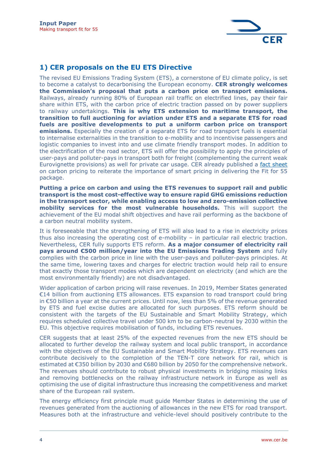

## <span id="page-4-0"></span>**1) CER proposals on the EU ETS Directive**

The revised EU Emissions Trading System (ETS), a cornerstone of EU climate policy, is set to become a catalyst to decarbonising the European economy. **CER strongly welcomes the Commission's proposal that puts a carbon price on transport emissions.** Railways, already running 80% of European rail traffic on electrified lines, pay their fair share within ETS, with the carbon price of electric traction passed on by power suppliers to railway undertakings. **This is why ETS extension to maritime transport, the transition to full auctioning for aviation under ETS and a separate ETS for road fuels are positive developments to put a uniform carbon price on transport emissions.** Especially the creation of a separate ETS for road transport fuels is essential to internalise externalities in the transition to e-mobility and to incentivise passengers and logistic companies to invest into and use climate friendly transport modes. In addition to the electrification of the road sector, ETS will offer the possibility to apply the principles of user-pays and polluter-pays in transport both for freight (complementing the current weak Eurovignette provisions) as well for private car usage. CER already published a [fact sheet](http://cer.be/publications/latest-publications/carbon-pricing-tool-delivering-sustainable-mobility) on carbon pricing to reiterate the importance of smart pricing in delivering the Fit for 55 package.

**Putting a price on carbon and using the ETS revenues to support rail and public transport is the most cost-effective way to ensure rapid GHG emissions reduction in the transport sector, while enabling access to low and zero-emission collective mobility services for the most vulnerable households.** This will support the achievement of the EU modal shift objectives and have rail performing as the backbone of a carbon neutral mobility system.

It is foreseeable that the strengthening of ETS will also lead to a rise in electricity prices thus also increasing the operating cost of e-mobility – in particular rail electric traction. Nevertheless, CER fully supports ETS reform. **As a major consumer of electricity rail pays around €500 million/year into the EU Emissions Trading System** and fully complies with the carbon price in line with the user-pays and polluter-pays principles. At the same time, lowering taxes and charges for electric traction would help rail to ensure that exactly those transport modes which are dependent on electricity (and which are the most environmentally friendly) are not disadvantaged.

Wider application of carbon pricing will raise revenues. In 2019, Member States generated €14 billion from auctioning ETS allowances. ETS expansion to road transport could bring in €50 billion a year at the current prices. Until now, less than 5% of the revenue generated by ETS and fuel excise duties are allocated for such purposes. ETS reform should be consistent with the targets of the EU Sustainable and Smart Mobility Strategy, which requires scheduled collective travel under 500 km to be carbon-neutral by 2030 within the EU. This objective requires mobilisation of funds, including ETS revenues.

CER suggests that at least 25% of the expected revenues from the new ETS should be allocated to further develop the railway system and local public transport, in accordance with the objectives of the EU Sustainable and Smart Mobility Strategy. ETS revenues can contribute decisively to the completion of the TEN-T core network for rail, which is estimated at €350 billion by 2030 and €680 billion by 2050 for the comprehensive network. The revenues should contribute to robust physical investments in bridging missing links and removing bottlenecks on the railway infrastructure network in Europe as well as optimising the use of digital infrastructure thus increasing the competitiveness and market share of the European rail system.

The energy efficiency first principle must guide Member States in determining the use of revenues generated from the auctioning of allowances in the new ETS for road transport. Measures both at the infrastructure and vehicle-level should positively contribute to the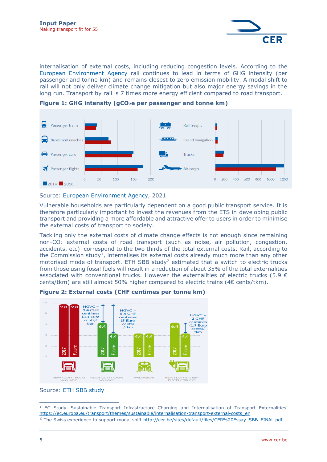

internalisation of external costs, including reducing congestion levels. According to the [European Environment Agency](https://www.eea.europa.eu/publications/rail-and-waterborne-transport/rail-and-waterborne-best/d3b-eea-ghg-efficiency-indicators/view) rail continues to lead in terms of GHG intensity (per passenger and tonne km) and remains closest to zero emission mobility. A modal shift to rail will not only deliver climate change mitigation but also major energy savings in the long run. Transport by rail is 7 times more energy efficient compared to road transport.



**Figure 1: GHG intensity (gCO2e per passenger and tonne km)**

Source: [European Environment Agency,](https://www.eea.europa.eu/publications/rail-and-waterborne-transport/rail-and-waterborne-best/d3b-eea-ghg-efficiency-indicators/view) 2021

Vulnerable households are particularly dependent on a good public transport service. It is therefore particularly important to invest the revenues from the ETS in developing public transport and providing a more affordable and attractive offer to users in order to minimise the external costs of transport to society.

Tackling only the external costs of climate change effects is not enough since remaining non-CO<sup>2</sup> external costs of road transport (such as noise, air pollution, congestion, accidents, etc) correspond to the two thirds of the total external costs. Rail, according to the Commission study<sup>1</sup>, internalises its external costs already much more than any other motorised mode of transport. ETH SBB study<sup>2</sup> estimated that a switch to electric trucks from those using fossil fuels will result in a reduction of about 35% of the total externalities associated with conventional trucks. However the externalities of electric trucks (5.9  $\epsilon$ cents/tkm) are still almost 50% higher compared to electric trains ( $4 \epsilon$  cents/tkm).



**Figure 2: External costs (CHF centimes per tonne km)**

Source: [ETH SBB study](http://cer.be/sites/default/files/CER%20Essay_SBB_FINAL.pdf)

<sup>&</sup>lt;sup>1</sup> EC Study 'Sustainable Transport Infrastructure Charging and Internalisation of Transport Externalities' [https://ec.europa.eu/transport/themes/sustainable/internalisation-transport-external-costs\\_en](https://ec.europa.eu/transport/themes/sustainable/internalisation-transport-external-costs_en)

<sup>&</sup>lt;sup>2</sup> The Swiss experience to support modal shift [http://cer.be/sites/default/files/CER%20Essay\\_SBB\\_FINAL.pdf](http://cer.be/sites/default/files/CER%20Essay_SBB_FINAL.pdf)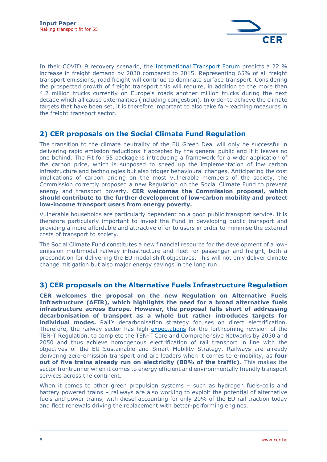

In their COVID19 recovery scenario, the [International Transport Forum](https://www.itf-oecd.org/itf-transport-outlook-2021) predicts a 22 % increase in freight demand by 2030 compared to 2015. Representing 65% of all freight transport emissions, road freight will continue to dominate surface transport. Considering the prospected growth of freight transport this will require, in addition to the more than 4.2 million trucks currently on Europe's roads another million trucks during the next decade which all cause externalities (including congestion). In order to achieve the climate targets that have been set, it is therefore important to also take far-reaching measures in the freight transport sector.

## <span id="page-6-0"></span>**2) CER proposals on the Social Climate Fund Regulation**

The transition to the climate neutrality of the EU Green Deal will only be successful in delivering rapid emission reductions if accepted by the general public and if it leaves no one behind. The Fit for 55 package is introducing a framework for a wider application of the carbon price, which is supposed to speed up the implementation of low carbon infrastructure and technologies but also trigger behavioural changes. Anticipating the cost implications of carbon pricing on the most vulnerable members of the society, the Commission correctly proposed a new Regulation on the Social Climate Fund to prevent energy and transport poverty. **CER welcomes the Commission proposal, which should contribute to the further development of low-carbon mobility and protect low-income transport users from energy poverty.** 

Vulnerable households are particularly dependent on a good public transport service. It is therefore particularly important to invest the Fund in developing public transport and providing a more affordable and attractive offer to users in order to minimise the external costs of transport to society.

The Social Climate Fund constitutes a new financial resource for the development of a lowemission multimodal railway infrastructure and fleet for passenger and freight, both a precondition for delivering the EU modal shift objectives. This will not only deliver climate change mitigation but also major energy savings in the long run.

#### <span id="page-6-1"></span>**3) CER proposals on the Alternative Fuels Infrastructure Regulation**

**CER welcomes the proposal on the new Regulation on Alternative Fuels Infrastructure (AFIR), which highlights the need for a broad alternative fuels infrastructure across Europe. However, the proposal falls short of addressing decarbonisation of transport as a whole but rather introduces targets for individual modes.** Rail's decarbonisation strategy focuses on direct electrification. Therefore, the railway sector has high [expectations](http://cer.be/publications/latest-publications/cer-position-revision-ten-t-regulation-13152013) for the forthcoming revision of the TEN-T Regulation, to complete the TEN-T Core and Comprehensive Networks by 2030 and 2050 and thus achieve homogenous electrification of rail transport in line with the objectives of the EU Sustainable and Smart Mobility Strategy. Railways are already delivering zero-emission transport and are leaders when it comes to e-mobility, as **four out of five trains already run on electricity (80% of the traffic)**. This makes the sector frontrunner when it comes to energy efficient and environmentally friendly transport services across the continent.

When it comes to other green propulsion systems – such as hydrogen fuels-cells and battery powered trains – railways are also working to exploit the potential of alternative fuels and power trains, with diesel accounting for only 20% of the EU rail traction today and fleet renewals driving the replacement with better-performing engines.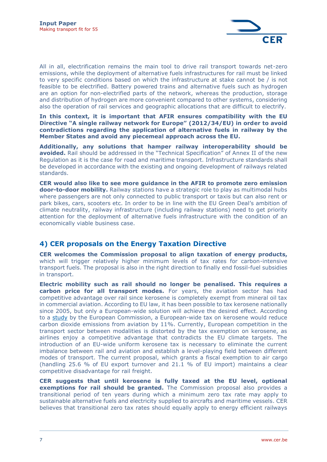

All in all, electrification remains the main tool to drive rail transport towards net-zero emissions, while the deployment of alternative fuels infrastructures for rail must be linked to very specific conditions based on which the infrastructure at stake cannot be / is not feasible to be electrified. Battery powered trains and alternative fuels such as hydrogen are an option for non-electrified parts of the network, whereas the production, storage and distribution of hydrogen are more convenient compared to other systems, considering also the operation of rail services and geographic allocations that are difficult to electrify.

**In this context, it is important that AFIR ensures compatibility with the EU Directive "A single railway network for Europe" (2012/34/EU) in order to avoid contradictions regarding the application of alternative fuels in railway by the Member States and avoid any piecemeal approach across the EU.**

**Additionally, any solutions that hamper railway interoperability should be avoided.** Rail should be addressed in the "Technical Specification" of Annex II of the new Regulation as it is the case for road and maritime transport. Infrastructure standards shall be developed in accordance with the existing and ongoing development of railways related standards.

**CER would also like to see more guidance in the AFIR to promote zero emission door-to-door mobility.** Railway stations have a strategic role to play as multimodal hubs where passengers are not only connected to public transport or taxis but can also rent or park bikes, cars, scooters etc. In order to be in line with the EU Green Deal's ambition of climate neutrality, railway infrastructure (including railway stations) need to get priority attention for the deployment of alternative fuels infrastructure with the condition of an economically viable business case.

#### <span id="page-7-0"></span>**4) CER proposals on the Energy Taxation Directive**

**CER welcomes the Commission proposal to align taxation of energy products,** which will trigger relatively higher minimum levels of tax rates for carbon-intensive transport fuels. The proposal is also in the right direction to finally end fossil-fuel subsidies in transport.

**Electric mobility such as rail should no longer be penalised. This requires a carbon price for all transport modes.** For years, the aviation sector has had competitive advantage over rail since kerosene is completely exempt from mineral oil tax in commercial aviation. According to EU law, it has been possible to tax kerosene nationally since 2005, but only a European-wide solution will achieve the desired effect. According to a [study](https://www.transportenvironment.org/discover/eu-sat-data-showing-benefits-ending-airlines-tax-break-leak/) by the European Commission, a European-wide tax on kerosene would reduce carbon dioxide emissions from aviation by 11%. Currently, European competition in the transport sector between modalities is distorted by the tax exemption on kerosene, as airlines enjoy a competitive advantage that contradicts the EU climate targets. The introduction of an EU-wide uniform kerosene tax is necessary to eliminate the current imbalance between rail and aviation and establish a level-playing field between different modes of transport. The current proposal, which grants a fiscal exemption to air cargo (handling 25.6 % of EU export turnover and 21.1 % of EU import) maintains a clear competitive disadvantage for rail freight.

**CER suggests that until kerosene is fully taxed at the EU level, optional exemptions for rail should be granted.** The Commission proposal also provides a transitional period of ten years during which a minimum zero tax rate may apply to sustainable alternative fuels and electricity supplied to aircrafts and maritime vessels. CER believes that transitional zero tax rates should equally apply to energy efficient railways